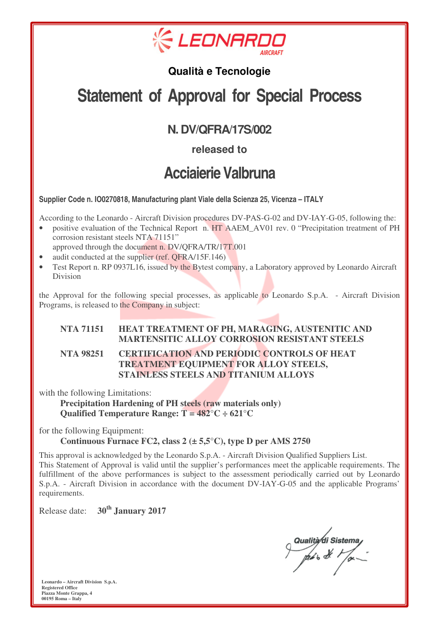

### **Qualità e Tecnologie**

# **Statement of Approval for Special Process**

## **N. DV/QFRA/17S/002**

**released to**

## **Acciaierie Valbruna**

**Supplier Code n. IO0270818, Manufacturing plant Viale della Scienza 25, Vicenza – ITALY** 

According to the Leonardo - Aircraft Division procedures DV-PAS-G-02 and DV-IAY-G-05, following the:

- positive evaluation of the Technical Report n. HT AAEM\_AV01 rev. 0 "Precipitation treatment of PH corrosion resistant steels NTA 71151" approved through the document n. DV/QFRA/TR/17T.001
- audit conducted at the supplier (ref. QFRA/15F.146)
- Test Report n. RP 0937L16, issued by the Bytest company, a Laboratory approved by Leonardo Aircraft Division

the Approval for the following special processes, as applicable to Leonardo S.p.A. - Aircraft Division Programs, is released to the Company in subject:

#### **NTA 71151 HEAT TREATMENT OF PH, MARAGING, AUSTENITIC AND MARTENSITIC ALLOY CORROSION RESISTANT STEELS**

#### **NTA 98251 CERTIFICATION AND PERIODIC CONTROLS OF HEAT TREATMENT EQUIPMENT FOR ALLOY STEELS, STAINLESS STEELS AND TITANIUM ALLOYS**

with the following Limitations:

 **Qualified Temperature Range: T = 482°C ÷ 621°C Precipitation Hardening of PH steels (raw materials only)** 

for the following Equipment:

#### **Continuous Furnace FC2, class 2 (± 5,5°C), type D per AMS 2750**

This approval is acknowledged by the Leonardo S.p.A. - Aircraft Division Qualified Suppliers List. This Statement of Approval is valid until the supplier's performances meet the applicable requirements. The fulfillment of the above performances is subject to the assessment periodically carried out by Leonardo S.p.A. - Aircraft Division in accordance with the document DV-IAY-G-05 and the applicable Programs' requirements.

Release date: **30th January 2017** 

Qualità di Sistema<br>prés de l'or

 **Leonardo – Aircraft Division S.p.A. Registered Office Piazza Monte Grappa, 4 00195 Roma – Italy**